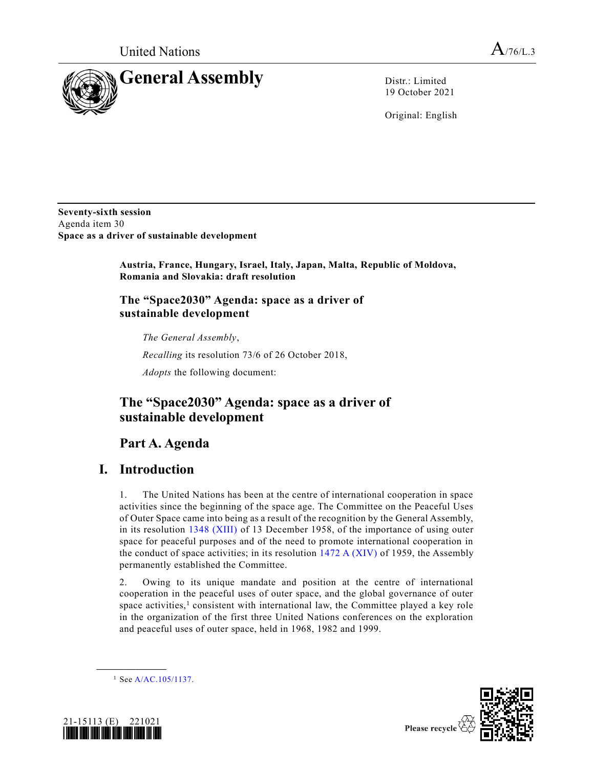

19 October 2021

Original: English

**Seventy-sixth session** Agenda item 30 **Space as a driver of sustainable development**

> **Austria, France, Hungary, Israel, Italy, Japan, Malta, Republic of Moldova, Romania and Slovakia: draft resolution**

### **The "Space2030" Agenda: space as a driver of sustainable development**

*The General Assembly*,

*Recalling* its resolution 73/6 of 26 October 2018,

*Adopts* the following document:

# **The "Space2030" Agenda: space as a driver of sustainable development**

# **Part A. Agenda**

## **I. Introduction**

1. The United Nations has been at the centre of international cooperation in space activities since the beginning of the space age. The Committee on the Peaceful Uses of Outer Space came into being as a result of the recognition by the General Assembly, in its resolution [1348 \(XIII\)](https://undocs.org/en/A/RES/1348(XIII)) of 13 December 1958, of the importance of using outer space for peaceful purposes and of the need to promote international cooperation in the conduct of space activities; in its resolution [1472 A \(XIV\)](https://undocs.org/en/A/RES/1472(XIV)) of 1959, the Assembly permanently established the Committee.

2. Owing to its unique mandate and position at the centre of international cooperation in the peaceful uses of outer space, and the global governance of outer space activities,<sup>1</sup> consistent with international law, the Committee played a key role in the organization of the first three United Nations conferences on the exploration and peaceful uses of outer space, held in 1968, 1982 and 1999.





 $1$  Se[e A/AC.105/1137.](http://undocs.org/A/AC.105/1137)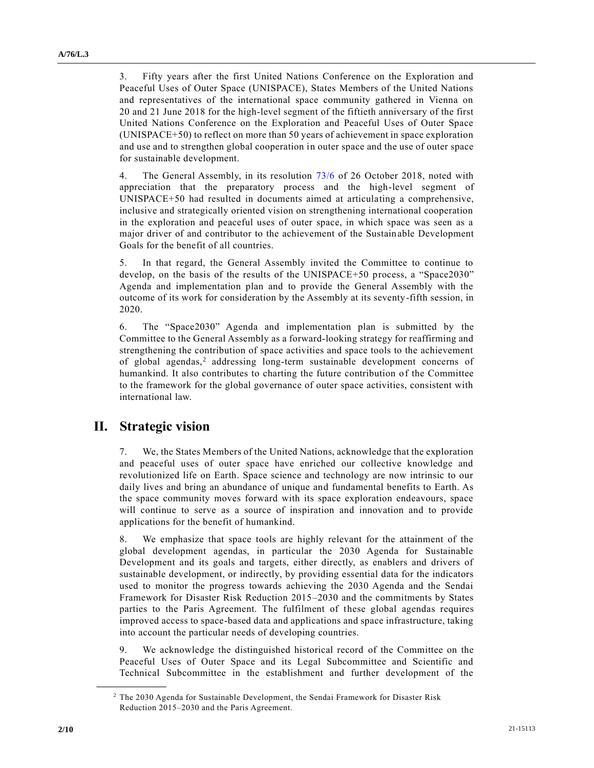3. Fifty years after the first United Nations Conference on the Exploration and Peaceful Uses of Outer Space (UNISPACE), States Members of the United Nations and representatives of the international space community gathered in Vienna on 20 and 21 June 2018 for the high-level segment of the fiftieth anniversary of the first United Nations Conference on the Exploration and Peaceful Uses of Outer Space (UNISPACE+50) to reflect on more than 50 years of achievement in space exploration and use and to strengthen global cooperation in outer space and the use of outer space for sustainable development.

4. The General Assembly, in its resolution [73/6](http://undocs.org/A/RES/73/6) of 26 October 2018, noted with appreciation that the preparatory process and the high-level segment of UNISPACE+50 had resulted in documents aimed at articulating a comprehensive, inclusive and strategically oriented vision on strengthening international cooperation in the exploration and peaceful uses of outer space, in which space was seen as a major driver of and contributor to the achievement of the Sustainable Development Goals for the benefit of all countries.

5. In that regard, the General Assembly invited the Committee to continue to develop, on the basis of the results of the UNISPACE+50 process, a "Space2030" Agenda and implementation plan and to provide the General Assembly with the outcome of its work for consideration by the Assembly at its seventy-fifth session, in 2020.

6. The "Space2030" Agenda and implementation plan is submitted by the Committee to the General Assembly as a forward-looking strategy for reaffirming and strengthening the contribution of space activities and space tools to the achievement of global agendas,<sup>2</sup> addressing long-term sustainable development concerns of humankind. It also contributes to charting the future contribution of the Committee to the framework for the global governance of outer space activities, consistent with international law.

## **II. Strategic vision**

**\_\_\_\_\_\_\_\_\_\_\_\_\_\_\_\_\_\_**

7. We, the States Members of the United Nations, acknowledge that the exploration and peaceful uses of outer space have enriched our collective knowledge and revolutionized life on Earth. Space science and technology are now intrinsic to our daily lives and bring an abundance of unique and fundamental benefits to Earth. As the space community moves forward with its space exploration endeavours, space will continue to serve as a source of inspiration and innovation and to provide applications for the benefit of humankind.

8. We emphasize that space tools are highly relevant for the attainment of the global development agendas, in particular the 2030 Agenda for Sustainable Development and its goals and targets, either directly, as enablers and drivers of sustainable development, or indirectly, by providing essential data for the indicators used to monitor the progress towards achieving the 2030 Agenda and the Sendai Framework for Disaster Risk Reduction 2015–2030 and the commitments by States parties to the Paris Agreement. The fulfilment of these global agendas requires improved access to space-based data and applications and space infrastructure, taking into account the particular needs of developing countries.

9. We acknowledge the distinguished historical record of the Committee on the Peaceful Uses of Outer Space and its Legal Subcommittee and Scientific and Technical Subcommittee in the establishment and further development of the

<sup>&</sup>lt;sup>2</sup> The 2030 Agenda for Sustainable Development, the Sendai Framework for Disaster Risk Reduction 2015–2030 and the Paris Agreement.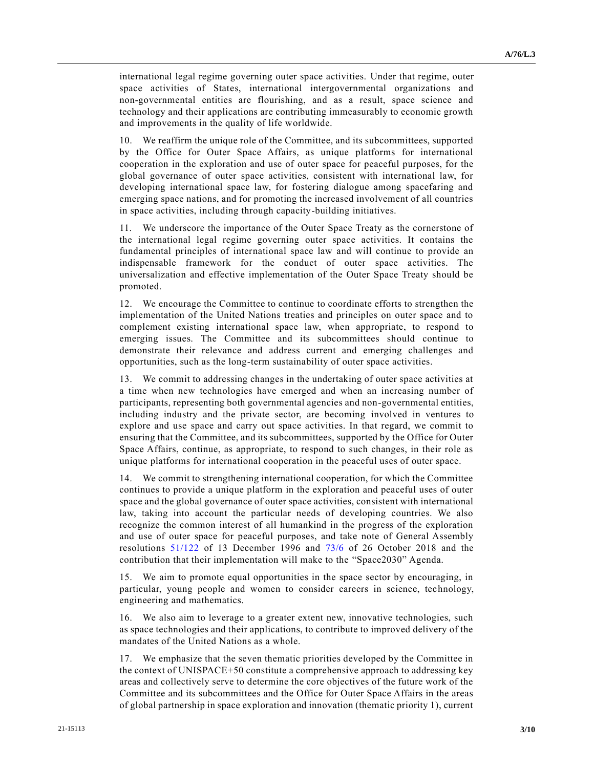international legal regime governing outer space activities. Under that regime, outer space activities of States, international intergovernmental organizations and non-governmental entities are flourishing, and as a result, space science and technology and their applications are contributing immeasurably to economic growth and improvements in the quality of life worldwide.

10. We reaffirm the unique role of the Committee, and its subcommittees, supported by the Office for Outer Space Affairs, as unique platforms for international cooperation in the exploration and use of outer space for peaceful purposes, for the global governance of outer space activities, consistent with international law, for developing international space law, for fostering dialogue among spacefaring and emerging space nations, and for promoting the increased involvement of all countries in space activities, including through capacity-building initiatives.

11. We underscore the importance of the Outer Space Treaty as the cornerstone of the international legal regime governing outer space activities. It contains the fundamental principles of international space law and will continue to provide an indispensable framework for the conduct of outer space activities. The universalization and effective implementation of the Outer Space Treaty should be promoted.

12. We encourage the Committee to continue to coordinate efforts to strengthen the implementation of the United Nations treaties and principles on outer space and to complement existing international space law, when appropriate, to respond to emerging issues. The Committee and its subcommittees should continue to demonstrate their relevance and address current and emerging challenges and opportunities, such as the long-term sustainability of outer space activities.

13. We commit to addressing changes in the undertaking of outer space activities at a time when new technologies have emerged and when an increasing number of participants, representing both governmental agencies and non-governmental entities, including industry and the private sector, are becoming involved in ventures to explore and use space and carry out space activities. In that regard, we commit to ensuring that the Committee, and its subcommittees, supported by the Office for Outer Space Affairs, continue, as appropriate, to respond to such changes, in their role as unique platforms for international cooperation in the peaceful uses of outer space.

14. We commit to strengthening international cooperation, for which the Committee continues to provide a unique platform in the exploration and peaceful uses of outer space and the global governance of outer space activities, consistent with international law, taking into account the particular needs of developing countries. We also recognize the common interest of all humankind in the progress of the exploration and use of outer space for peaceful purposes, and take note of General Assembly resolutions [51/122](http://undocs.org/A/RES/51/122) of 13 December 1996 and [73/6](http://undocs.org/A/RES/73/6) of 26 October 2018 and the contribution that their implementation will make to the "Space2030" Agenda.

15. We aim to promote equal opportunities in the space sector by encouraging, in particular, young people and women to consider careers in science, technology, engineering and mathematics.

16. We also aim to leverage to a greater extent new, innovative technologies, such as space technologies and their applications, to contribute to improved delivery of the mandates of the United Nations as a whole.

17. We emphasize that the seven thematic priorities developed by the Committee in the context of UNISPACE+50 constitute a comprehensive approach to addressing key areas and collectively serve to determine the core objectives of the future work of the Committee and its subcommittees and the Office for Outer Space Affairs in the areas of global partnership in space exploration and innovation (thematic priority 1), current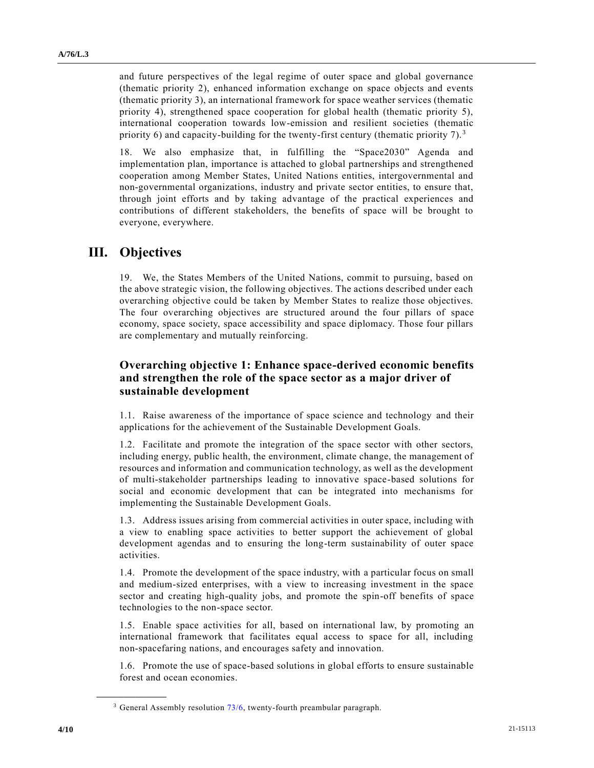and future perspectives of the legal regime of outer space and global governance (thematic priority 2), enhanced information exchange on space objects and events (thematic priority 3), an international framework for space weather services (thematic priority 4), strengthened space cooperation for global health (thematic priority 5), international cooperation towards low-emission and resilient societies (thematic priority 6) and capacity-building for the twenty-first century (thematic priority 7).<sup>3</sup>

18. We also emphasize that, in fulfilling the "Space2030" Agenda and implementation plan, importance is attached to global partnerships and strengthened cooperation among Member States, United Nations entities, intergovernmental and non-governmental organizations, industry and private sector entities, to ensure that, through joint efforts and by taking advantage of the practical experiences and contributions of different stakeholders, the benefits of space will be brought to everyone, everywhere.

# **III. Objectives**

19. We, the States Members of the United Nations, commit to pursuing, based on the above strategic vision, the following objectives. The actions described under each overarching objective could be taken by Member States to realize those objectives. The four overarching objectives are structured around the four pillars of space economy, space society, space accessibility and space diplomacy. Those four pillars are complementary and mutually reinforcing.

### **Overarching objective 1: Enhance space-derived economic benefits and strengthen the role of the space sector as a major driver of sustainable development**

1.1. Raise awareness of the importance of space science and technology and their applications for the achievement of the Sustainable Development Goals.

1.2. Facilitate and promote the integration of the space sector with other sectors, including energy, public health, the environment, climate change, the management of resources and information and communication technology, as well as the development of multi-stakeholder partnerships leading to innovative space-based solutions for social and economic development that can be integrated into mechanisms for implementing the Sustainable Development Goals.

1.3. Address issues arising from commercial activities in outer space, including with a view to enabling space activities to better support the achievement of global development agendas and to ensuring the long-term sustainability of outer space activities.

1.4. Promote the development of the space industry, with a particular focus on small and medium-sized enterprises, with a view to increasing investment in the space sector and creating high-quality jobs, and promote the spin-off benefits of space technologies to the non-space sector.

1.5. Enable space activities for all, based on international law, by promoting an international framework that facilitates equal access to space for all, including non-spacefaring nations, and encourages safety and innovation.

1.6. Promote the use of space-based solutions in global efforts to ensure sustainable forest and ocean economies.

 $3$  General Assembly resolution  $73/6$ , twenty-fourth preambular paragraph.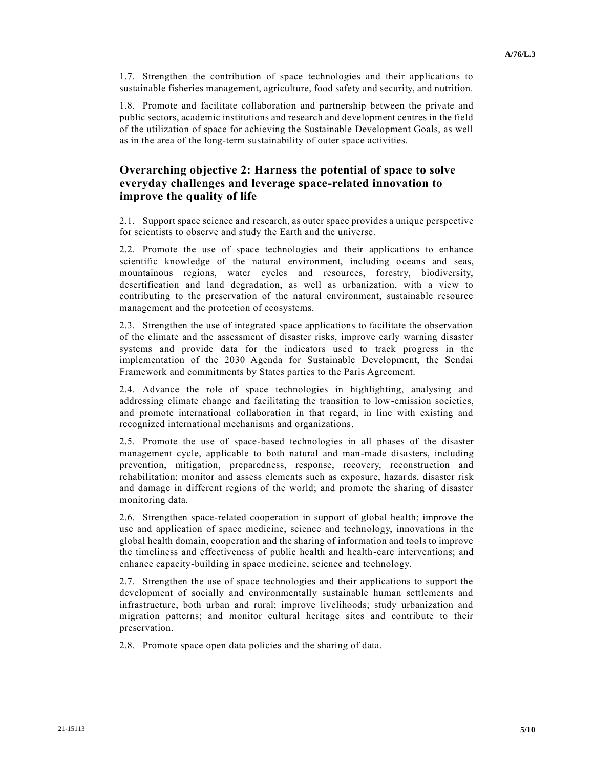1.7. Strengthen the contribution of space technologies and their applications to sustainable fisheries management, agriculture, food safety and security, and nutrition.

1.8. Promote and facilitate collaboration and partnership between the private and public sectors, academic institutions and research and development centres in the field of the utilization of space for achieving the Sustainable Development Goals, as well as in the area of the long-term sustainability of outer space activities.

#### **Overarching objective 2: Harness the potential of space to solve everyday challenges and leverage space-related innovation to improve the quality of life**

2.1. Support space science and research, as outer space provides a unique perspective for scientists to observe and study the Earth and the universe.

2.2. Promote the use of space technologies and their applications to enhance scientific knowledge of the natural environment, including oceans and seas, mountainous regions, water cycles and resources, forestry, biodiversity, desertification and land degradation, as well as urbanization, with a view to contributing to the preservation of the natural environment, sustainable resource management and the protection of ecosystems.

2.3. Strengthen the use of integrated space applications to facilitate the observation of the climate and the assessment of disaster risks, improve early warning disaster systems and provide data for the indicators used to track progress in the implementation of the 2030 Agenda for Sustainable Development, the Sendai Framework and commitments by States parties to the Paris Agreement.

2.4. Advance the role of space technologies in highlighting, analysing and addressing climate change and facilitating the transition to low-emission societies, and promote international collaboration in that regard, in line with existing and recognized international mechanisms and organizations.

2.5. Promote the use of space-based technologies in all phases of the disaster management cycle, applicable to both natural and man-made disasters, including prevention, mitigation, preparedness, response, recovery, reconstruction and rehabilitation; monitor and assess elements such as exposure, hazards, disaster risk and damage in different regions of the world; and promote the sharing of disaster monitoring data.

2.6. Strengthen space-related cooperation in support of global health; improve the use and application of space medicine, science and technology, innovations in the global health domain, cooperation and the sharing of information and tools to improve the timeliness and effectiveness of public health and health-care interventions; and enhance capacity-building in space medicine, science and technology.

2.7. Strengthen the use of space technologies and their applications to support the development of socially and environmentally sustainable human settlements and infrastructure, both urban and rural; improve livelihoods; study urbanization and migration patterns; and monitor cultural heritage sites and contribute to their preservation.

2.8. Promote space open data policies and the sharing of data.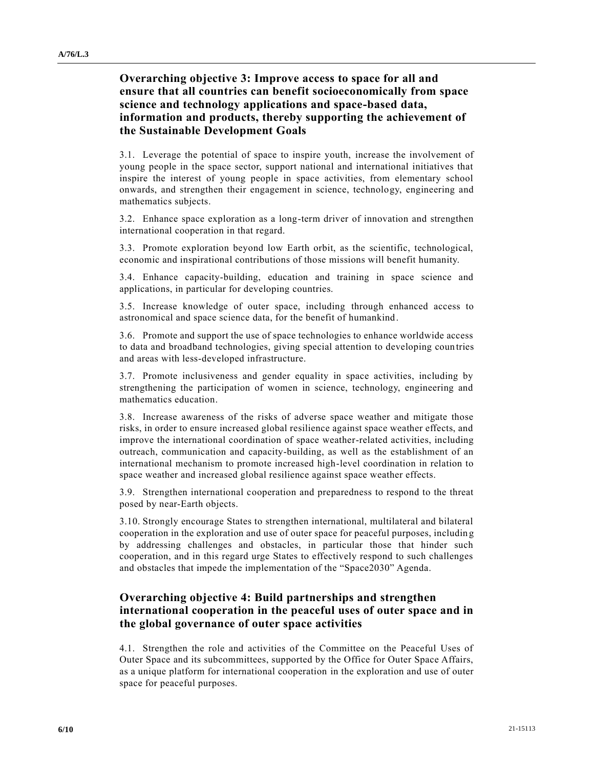### **Overarching objective 3: Improve access to space for all and ensure that all countries can benefit socioeconomically from space science and technology applications and space-based data, information and products, thereby supporting the achievement of the Sustainable Development Goals**

3.1. Leverage the potential of space to inspire youth, increase the involvement of young people in the space sector, support national and international initiatives that inspire the interest of young people in space activities, from elementary school onwards, and strengthen their engagement in science, technology, engineering and mathematics subjects.

3.2. Enhance space exploration as a long-term driver of innovation and strengthen international cooperation in that regard.

3.3. Promote exploration beyond low Earth orbit, as the scientific, technological, economic and inspirational contributions of those missions will benefit humanity.

3.4. Enhance capacity-building, education and training in space science and applications, in particular for developing countries.

3.5. Increase knowledge of outer space, including through enhanced access to astronomical and space science data, for the benefit of humankind.

3.6. Promote and support the use of space technologies to enhance worldwide access to data and broadband technologies, giving special attention to developing coun tries and areas with less-developed infrastructure.

3.7. Promote inclusiveness and gender equality in space activities, including by strengthening the participation of women in science, technology, engineering and mathematics education.

3.8. Increase awareness of the risks of adverse space weather and mitigate those risks, in order to ensure increased global resilience against space weather effects, and improve the international coordination of space weather-related activities, including outreach, communication and capacity-building, as well as the establishment of an international mechanism to promote increased high-level coordination in relation to space weather and increased global resilience against space weather effects.

3.9. Strengthen international cooperation and preparedness to respond to the threat posed by near-Earth objects.

3.10. Strongly encourage States to strengthen international, multilateral and bilateral cooperation in the exploration and use of outer space for peaceful purposes, includin g by addressing challenges and obstacles, in particular those that hinder such cooperation, and in this regard urge States to effectively respond to such challenges and obstacles that impede the implementation of the "Space2030" Agenda.

### **Overarching objective 4: Build partnerships and strengthen international cooperation in the peaceful uses of outer space and in the global governance of outer space activities**

4.1. Strengthen the role and activities of the Committee on the Peaceful Uses of Outer Space and its subcommittees, supported by the Office for Outer Space Affairs, as a unique platform for international cooperation in the exploration and use of outer space for peaceful purposes.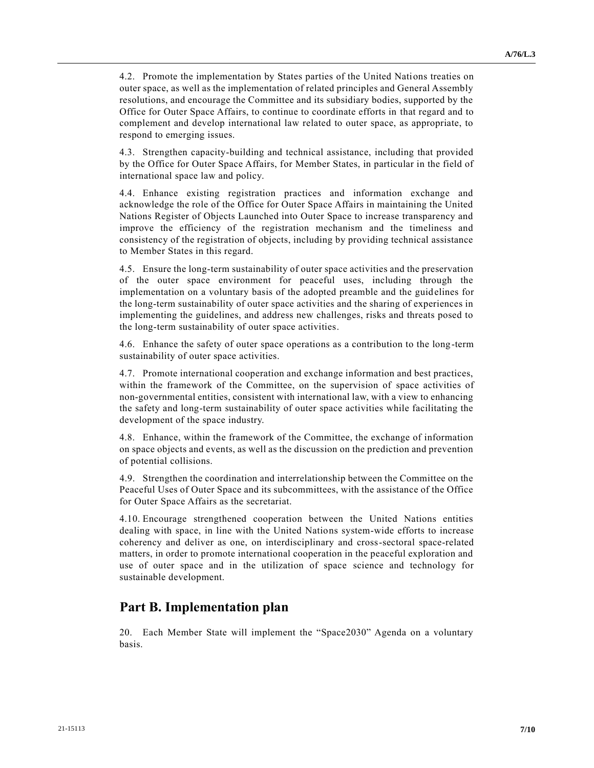4.2. Promote the implementation by States parties of the United Nations treaties on outer space, as well as the implementation of related principles and General Assembly resolutions, and encourage the Committee and its subsidiary bodies, supported by the Office for Outer Space Affairs, to continue to coordinate efforts in that regard and to complement and develop international law related to outer space, as appropriate, to respond to emerging issues.

4.3. Strengthen capacity-building and technical assistance, including that provided by the Office for Outer Space Affairs, for Member States, in particular in the field of international space law and policy.

4.4. Enhance existing registration practices and information exchange and acknowledge the role of the Office for Outer Space Affairs in maintaining the United Nations Register of Objects Launched into Outer Space to increase transparency and improve the efficiency of the registration mechanism and the timeliness and consistency of the registration of objects, including by providing technical assistance to Member States in this regard.

4.5. Ensure the long-term sustainability of outer space activities and the preservation of the outer space environment for peaceful uses, including through the implementation on a voluntary basis of the adopted preamble and the guidelines for the long-term sustainability of outer space activities and the sharing of experiences in implementing the guidelines, and address new challenges, risks and threats posed to the long-term sustainability of outer space activities.

4.6. Enhance the safety of outer space operations as a contribution to the long-term sustainability of outer space activities.

4.7. Promote international cooperation and exchange information and best practices, within the framework of the Committee, on the supervision of space activities of non-governmental entities, consistent with international law, with a view to enhancing the safety and long-term sustainability of outer space activities while facilitating the development of the space industry.

4.8. Enhance, within the framework of the Committee, the exchange of information on space objects and events, as well as the discussion on the prediction and prevention of potential collisions.

4.9. Strengthen the coordination and interrelationship between the Committee on the Peaceful Uses of Outer Space and its subcommittees, with the assistance of the Office for Outer Space Affairs as the secretariat.

4.10. Encourage strengthened cooperation between the United Nations entities dealing with space, in line with the United Nations system-wide efforts to increase coherency and deliver as one, on interdisciplinary and cross-sectoral space-related matters, in order to promote international cooperation in the peaceful exploration and use of outer space and in the utilization of space science and technology for sustainable development.

# **Part B. Implementation plan**

20. Each Member State will implement the "Space2030" Agenda on a voluntary basis.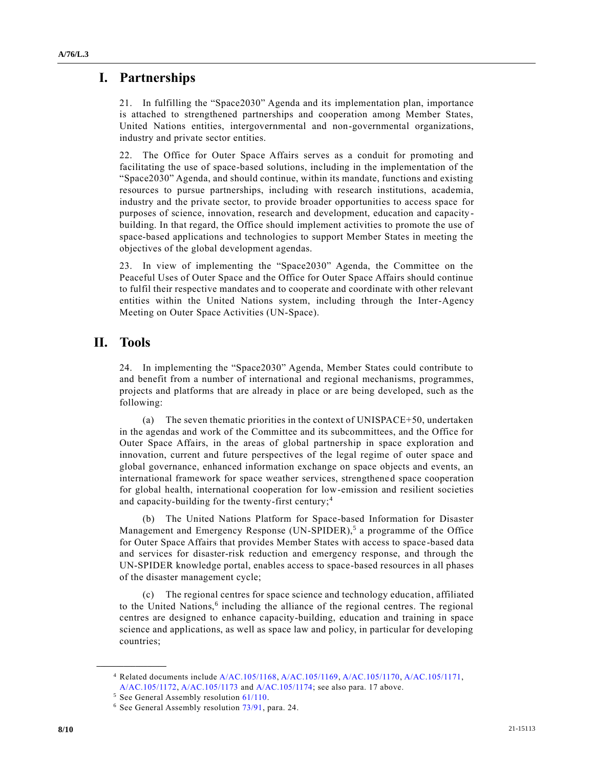# **I. Partnerships**

21. In fulfilling the "Space2030" Agenda and its implementation plan, importance is attached to strengthened partnerships and cooperation among Member States, United Nations entities, intergovernmental and non-governmental organizations, industry and private sector entities.

22. The Office for Outer Space Affairs serves as a conduit for promoting and facilitating the use of space-based solutions, including in the implementation of the "Space2030" Agenda, and should continue, within its mandate, functions and existing resources to pursue partnerships, including with research institutions, academia, industry and the private sector, to provide broader opportunities to access space for purposes of science, innovation, research and development, education and capacity building. In that regard, the Office should implement activities to promote the use of space-based applications and technologies to support Member States in meeting the objectives of the global development agendas.

23. In view of implementing the "Space2030" Agenda, the Committee on the Peaceful Uses of Outer Space and the Office for Outer Space Affairs should continue to fulfil their respective mandates and to cooperate and coordinate with other relevant entities within the United Nations system, including through the Inter-Agency Meeting on Outer Space Activities (UN-Space).

# **II. Tools**

24. In implementing the "Space2030" Agenda, Member States could contribute to and benefit from a number of international and regional mechanisms, programmes, projects and platforms that are already in place or are being developed, such as the following:

(a) The seven thematic priorities in the context of UNISPACE+50, undertaken in the agendas and work of the Committee and its subcommittees, and the Office for Outer Space Affairs, in the areas of global partnership in space exploration and innovation, current and future perspectives of the legal regime of outer space and global governance, enhanced information exchange on space objects and events, an international framework for space weather services, strengthened space cooperation for global health, international cooperation for low-emission and resilient societies and capacity-building for the twenty-first century;<sup>4</sup>

(b) The United Nations Platform for Space-based Information for Disaster Management and Emergency Response  $(UN-SPIDER)$ ,<sup>5</sup> a programme of the Office for Outer Space Affairs that provides Member States with access to space-based data and services for disaster-risk reduction and emergency response, and through the UN-SPIDER knowledge portal, enables access to space-based resources in all phases of the disaster management cycle;

(c) The regional centres for space science and technology education, affiliated to the United Nations,<sup>6</sup> including the alliance of the regional centres. The regional centres are designed to enhance capacity-building, education and training in space science and applications, as well as space law and policy, in particular for developing countries;

<sup>4</sup> Related documents include [A/AC.105/1168,](http://undocs.org/A/AC.105/1168) [A/AC.105/1169,](http://undocs.org/A/AC.105/1169) [A/AC.105/1170,](http://undocs.org/A/AC.105/1170) [A/AC.105/1171,](http://undocs.org/A/AC.105/1171)

[A/AC.105/1172,](http://undocs.org/A/AC.105/1172) [A/AC.105/1173](http://undocs.org/A/AC.105/1173) and [A/AC.105/1174;](https://undocs.org/A/AC.105/1174) see also para. 17 above.

<sup>5</sup> See General Assembly resolution [61/110.](http://undocs.org/A/RES/61/110)

<sup>&</sup>lt;sup>6</sup> See General Assembly resolution [73/91,](http://undocs.org/A/RES/73/91) para. 24.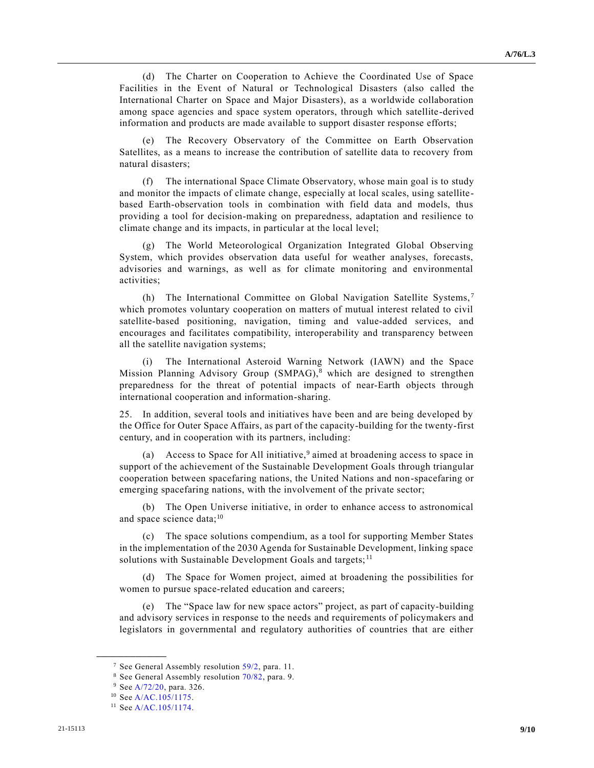(d) The Charter on Cooperation to Achieve the Coordinated Use of Space Facilities in the Event of Natural or Technological Disasters (also called the International Charter on Space and Major Disasters), as a worldwide collaboration among space agencies and space system operators, through which satellite-derived information and products are made available to support disaster response efforts;

(e) The Recovery Observatory of the Committee on Earth Observation Satellites, as a means to increase the contribution of satellite data to recovery from natural disasters;

(f) The international Space Climate Observatory, whose main goal is to study and monitor the impacts of climate change, especially at local scales, using satellitebased Earth-observation tools in combination with field data and models, thus providing a tool for decision-making on preparedness, adaptation and resilience to climate change and its impacts, in particular at the local level;

(g) The World Meteorological Organization Integrated Global Observing System, which provides observation data useful for weather analyses, forecasts, advisories and warnings, as well as for climate monitoring and environmental activities;

(h) The International Committee on Global Navigation Satellite Systems,<sup>7</sup> which promotes voluntary cooperation on matters of mutual interest related to civil satellite-based positioning, navigation, timing and value-added services, and encourages and facilitates compatibility, interoperability and transparency between all the satellite navigation systems;

(i) The International Asteroid Warning Network (IAWN) and the Space Mission Planning Advisory Group (SMPAG),<sup>8</sup> which are designed to strengthen preparedness for the threat of potential impacts of near-Earth objects through international cooperation and information-sharing.

25. In addition, several tools and initiatives have been and are being developed by the Office for Outer Space Affairs, as part of the capacity-building for the twenty-first century, and in cooperation with its partners, including:

(a) Access to Space for All initiative,  $9$  aimed at broadening access to space in support of the achievement of the Sustainable Development Goals through triangular cooperation between spacefaring nations, the United Nations and non-spacefaring or emerging spacefaring nations, with the involvement of the private sector;

(b) The Open Universe initiative, in order to enhance access to astronomical and space science data; $^{10}$ 

(c) The space solutions compendium, as a tool for supporting Member States in the implementation of the 2030 Agenda for Sustainable Development, linking space solutions with Sustainable Development Goals and targets;<sup>11</sup>

(d) The Space for Women project, aimed at broadening the possibilities for women to pursue space-related education and careers;

(e) The "Space law for new space actors" project, as part of capacity-building and advisory services in response to the needs and requirements of policymakers and legislators in governmental and regulatory authorities of countries that are either

<sup>&</sup>lt;sup>7</sup> See General Assembly resolution [59/2,](http://undocs.org/A/RES/59/2) para. 11.

<sup>8</sup> See General Assembly resolution [70/82,](http://undocs.org/A/RES/70/82) para. 9.

<sup>9</sup> Se[e A/72/20,](http://undocs.org/A/72/20) para. 326.

<sup>10</sup> Se[e A/AC.105/1175.](http://undocs.org/A/AC.105/1175)

<sup>&</sup>lt;sup>11</sup> Se[e A/AC.105/1174.](http://undocs.org/A/AC.105/1174)